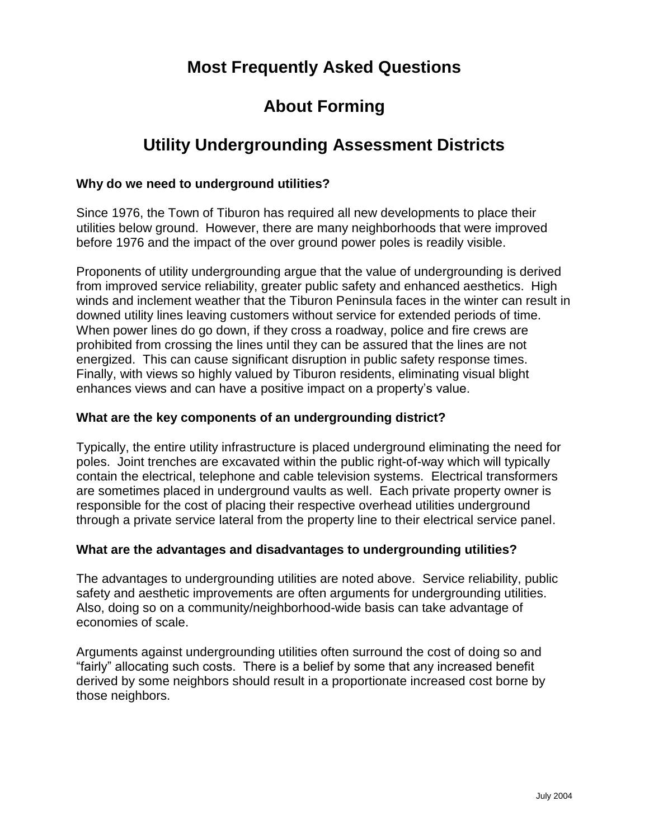# **Most Frequently Asked Questions**

# **About Forming**

# **Utility Undergrounding Assessment Districts**

### **Why do we need to underground utilities?**

Since 1976, the Town of Tiburon has required all new developments to place their utilities below ground. However, there are many neighborhoods that were improved before 1976 and the impact of the over ground power poles is readily visible.

Proponents of utility undergrounding argue that the value of undergrounding is derived from improved service reliability, greater public safety and enhanced aesthetics. High winds and inclement weather that the Tiburon Peninsula faces in the winter can result in downed utility lines leaving customers without service for extended periods of time. When power lines do go down, if they cross a roadway, police and fire crews are prohibited from crossing the lines until they can be assured that the lines are not energized. This can cause significant disruption in public safety response times. Finally, with views so highly valued by Tiburon residents, eliminating visual blight enhances views and can have a positive impact on a property's value.

#### **What are the key components of an undergrounding district?**

Typically, the entire utility infrastructure is placed underground eliminating the need for poles. Joint trenches are excavated within the public right-of-way which will typically contain the electrical, telephone and cable television systems. Electrical transformers are sometimes placed in underground vaults as well. Each private property owner is responsible for the cost of placing their respective overhead utilities underground through a private service lateral from the property line to their electrical service panel.

### **What are the advantages and disadvantages to undergrounding utilities?**

The advantages to undergrounding utilities are noted above. Service reliability, public safety and aesthetic improvements are often arguments for undergrounding utilities. Also, doing so on a community/neighborhood-wide basis can take advantage of economies of scale.

Arguments against undergrounding utilities often surround the cost of doing so and "fairly" allocating such costs. There is a belief by some that any increased benefit derived by some neighbors should result in a proportionate increased cost borne by those neighbors.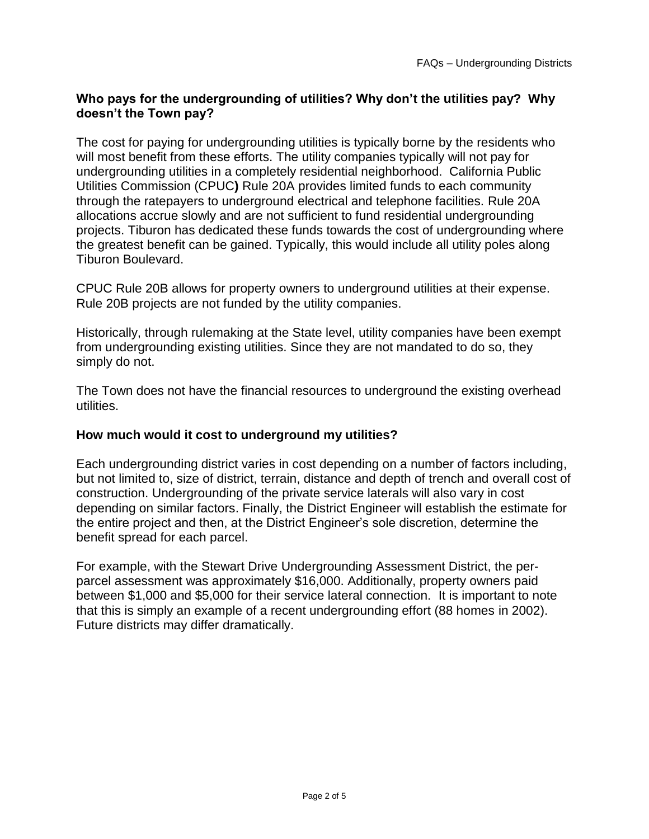# **Who pays for the undergrounding of utilities? Why don't the utilities pay? Why doesn't the Town pay?**

The cost for paying for undergrounding utilities is typically borne by the residents who will most benefit from these efforts. The utility companies typically will not pay for undergrounding utilities in a completely residential neighborhood. California Public Utilities Commission (CPUC**)** Rule 20A provides limited funds to each community through the ratepayers to underground electrical and telephone facilities. Rule 20A allocations accrue slowly and are not sufficient to fund residential undergrounding projects. Tiburon has dedicated these funds towards the cost of undergrounding where the greatest benefit can be gained. Typically, this would include all utility poles along Tiburon Boulevard.

CPUC Rule 20B allows for property owners to underground utilities at their expense. Rule 20B projects are not funded by the utility companies.

Historically, through rulemaking at the State level, utility companies have been exempt from undergrounding existing utilities. Since they are not mandated to do so, they simply do not.

The Town does not have the financial resources to underground the existing overhead utilities.

### **How much would it cost to underground my utilities?**

Each undergrounding district varies in cost depending on a number of factors including, but not limited to, size of district, terrain, distance and depth of trench and overall cost of construction. Undergrounding of the private service laterals will also vary in cost depending on similar factors. Finally, the District Engineer will establish the estimate for the entire project and then, at the District Engineer's sole discretion, determine the benefit spread for each parcel.

For example, with the Stewart Drive Undergrounding Assessment District, the perparcel assessment was approximately \$16,000. Additionally, property owners paid between \$1,000 and \$5,000 for their service lateral connection. It is important to note that this is simply an example of a recent undergrounding effort (88 homes in 2002). Future districts may differ dramatically.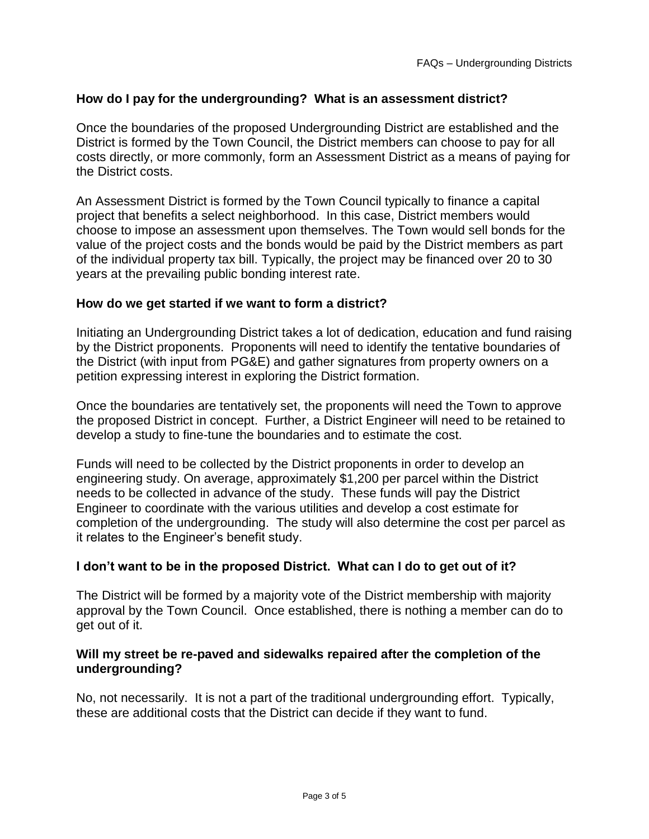# **How do I pay for the undergrounding? What is an assessment district?**

Once the boundaries of the proposed Undergrounding District are established and the District is formed by the Town Council, the District members can choose to pay for all costs directly, or more commonly, form an Assessment District as a means of paying for the District costs.

An Assessment District is formed by the Town Council typically to finance a capital project that benefits a select neighborhood. In this case, District members would choose to impose an assessment upon themselves. The Town would sell bonds for the value of the project costs and the bonds would be paid by the District members as part of the individual property tax bill. Typically, the project may be financed over 20 to 30 years at the prevailing public bonding interest rate.

#### **How do we get started if we want to form a district?**

Initiating an Undergrounding District takes a lot of dedication, education and fund raising by the District proponents. Proponents will need to identify the tentative boundaries of the District (with input from PG&E) and gather signatures from property owners on a petition expressing interest in exploring the District formation.

Once the boundaries are tentatively set, the proponents will need the Town to approve the proposed District in concept. Further, a District Engineer will need to be retained to develop a study to fine-tune the boundaries and to estimate the cost.

Funds will need to be collected by the District proponents in order to develop an engineering study. On average, approximately \$1,200 per parcel within the District needs to be collected in advance of the study. These funds will pay the District Engineer to coordinate with the various utilities and develop a cost estimate for completion of the undergrounding. The study will also determine the cost per parcel as it relates to the Engineer's benefit study.

### **I don't want to be in the proposed District. What can I do to get out of it?**

The District will be formed by a majority vote of the District membership with majority approval by the Town Council. Once established, there is nothing a member can do to get out of it.

#### **Will my street be re-paved and sidewalks repaired after the completion of the undergrounding?**

No, not necessarily. It is not a part of the traditional undergrounding effort. Typically, these are additional costs that the District can decide if they want to fund.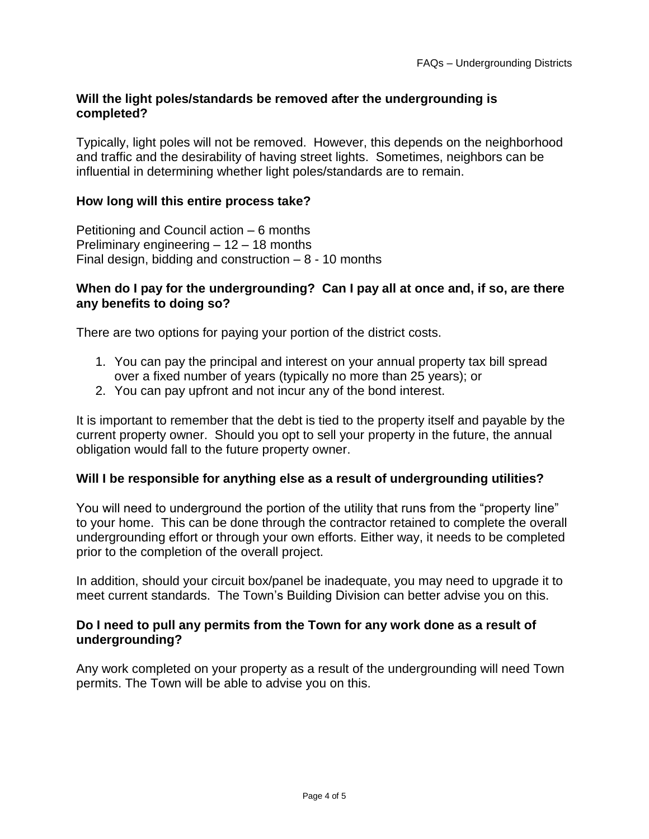### **Will the light poles/standards be removed after the undergrounding is completed?**

Typically, light poles will not be removed. However, this depends on the neighborhood and traffic and the desirability of having street lights. Sometimes, neighbors can be influential in determining whether light poles/standards are to remain.

#### **How long will this entire process take?**

Petitioning and Council action – 6 months Preliminary engineering – 12 – 18 months Final design, bidding and construction  $-8 - 10$  months

#### **When do I pay for the undergrounding? Can I pay all at once and, if so, are there any benefits to doing so?**

There are two options for paying your portion of the district costs.

- 1. You can pay the principal and interest on your annual property tax bill spread over a fixed number of years (typically no more than 25 years); or
- 2. You can pay upfront and not incur any of the bond interest.

It is important to remember that the debt is tied to the property itself and payable by the current property owner. Should you opt to sell your property in the future, the annual obligation would fall to the future property owner.

#### **Will I be responsible for anything else as a result of undergrounding utilities?**

You will need to underground the portion of the utility that runs from the "property line" to your home. This can be done through the contractor retained to complete the overall undergrounding effort or through your own efforts. Either way, it needs to be completed prior to the completion of the overall project.

In addition, should your circuit box/panel be inadequate, you may need to upgrade it to meet current standards. The Town's Building Division can better advise you on this.

### **Do I need to pull any permits from the Town for any work done as a result of undergrounding?**

Any work completed on your property as a result of the undergrounding will need Town permits. The Town will be able to advise you on this.